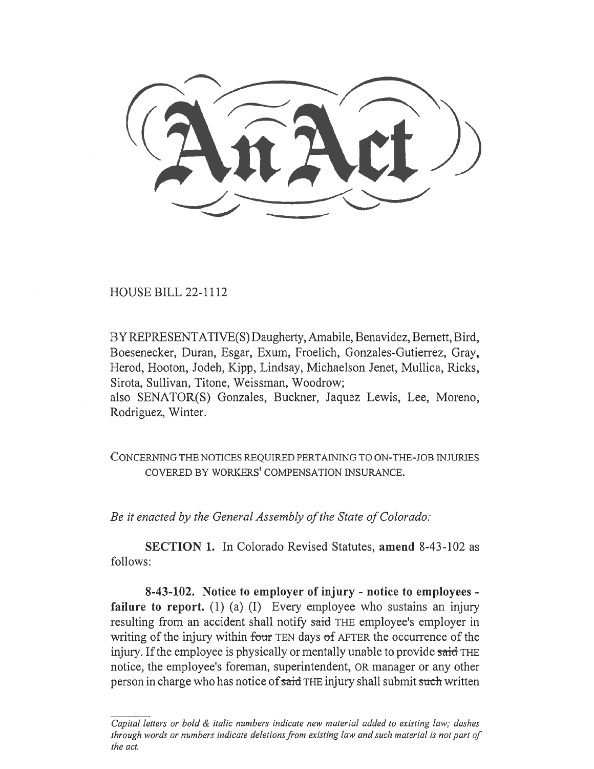HOUSE BILL 22-1112

BY REPRESENTATIVE(S) Daugherty, Amabile, Benavidez, Bernett, Bird, Boesenecker, Duran, Esgar, Exum, Froelich, Gonzales-Gutierrez, Gray, Herod, Hooton, Jodeh, Kipp, Lindsay, Michaelson Jenet, Mullica, Ricks, Sirota, Sullivan, Titone, Weissman, Woodrow;

also SENATOR(S) Gonzales, Buckner, Jaquez Lewis, Lee, Moreno, Rodriguez, Winter.

CONCERNING THE NOTICES REQUIRED PERTAINING TO ON-THE-JOB INJURIES COVERED BY WORKERS' COMPENSATION INSURANCE.

Be it enacted by the General Assembly of the State of Colorado:

SECTION 1. In Colorado Revised Statutes, amend 8-43-102 as follows:

8-43-102. Notice to employer of injury - notice to employees failure to report. (1) (a) (I) Every employee who sustains an injury resulting from an accident shall notify said THE employee's employer in writing of the injury within four TEN days of AFTER the occurrence of the injury. If the employee is physically or mentally unable to provide said THE notice, the employee's foreman, superintendent, OR manager or any other person in charge who has notice of said THE injury shall submit such written

Capital letters or bold & italic numbers indicate new material added to existing law; dashes through words or numbers indicate deletions from existing law and such material is not part of the act.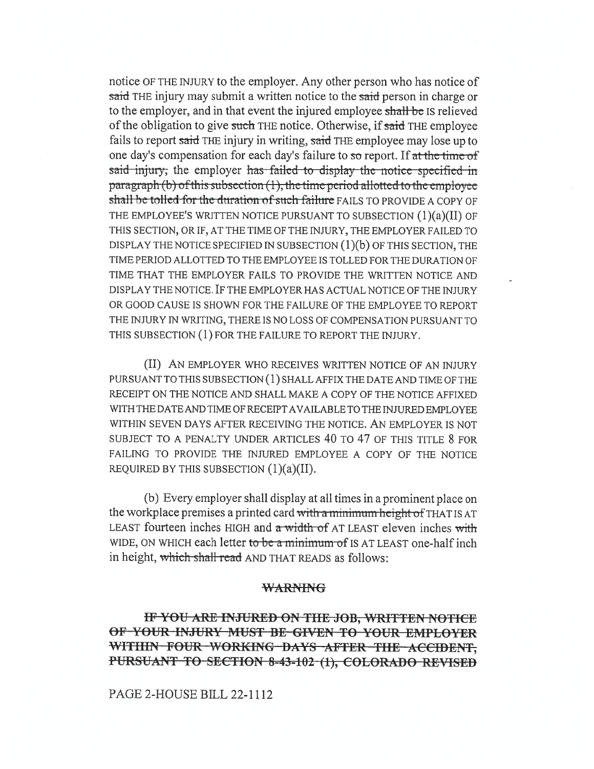notice OF THE INJURY to the employer. Any other person who has notice of said THE injury may submit a written notice to the said person in charge or to the employer, and in that event the injured employee shall be Is relieved of the obligation to give such THE notice. Otherwise, if said THE employee fails to report said THE injury in writing, said THE employee may lose up to one day's compensation for each day's failure to so report. If at the time of said injury, the employer has failed to display the notice specified in paragraph (b) of this subsection  $(1)$ , the time period allotted to the employee shall be tolled-for the duration of such failure FAILS TO PROVIDE A COPY OF THE EMPLOYEE'S WRITTEN NOTICE PURSUANT TO SUBSECTION (1)(a)(II) OF THIS SECTION, OR IF, AT THE TIME OF THE INJURY, THE EMPLOYER FAILED TO DISPLAY THE NOTICE SPECIFIED IN SUBSECTION  $(1)(b)$  OF THIS SECTION, THE TIME PERIOD ALLOTTED TO THE EMPLOYEE IS TOLLED FOR THE DURATION OF TIME THAT THE EMPLOYER FAILS TO PROVIDE THE WRITTEN NOTICE AND DISPLAY THE NOTICE. IF THE EMPLOYER HAS ACTUAL NOTICE OF THE INJURY OR GOOD CAUSE IS SHOWN FOR THE FAILURE OF THE EMPLOYEE TO REPORT THE INJURY IN WRITING, THERE IS NO LOSS OF COMPENSATION PURSUANT TO THIS SUBSECTION (1) FOR THE FAILURE TO REPORT THE INJURY.

(II) AN EMPLOYER WHO RECEIVES WRITTEN NOTICE OF AN INJURY PURSUANT TO THIS SUBSECTION (1) SHALL AFFIX THE DATE AND TIME OF THE RECEIPT ON THE NOTICE AND SHALL MAKE A COPY OF THE NOTICE AFFIXED WITH THE DATE AND TIME OF RECEIPT AVAILABLE TO THE INJURED EMPLOYEE WITHIN SEVEN DAYS AFTER RECEIVING THE NOTICE. AN EMPLOYER IS NOT SUBJECT TO A PENALTY UNDER ARTICLES 40 TO 47 OF THIS TITLE 8 FOR FAILING TO PROVIDE THE INJURED EMPLOYEE A COPY OF THE NOTICE REQUIRED BY THIS SUBSECTION  $(1)(a)(II)$ .

(b) Every employer shall display at all times in a prominent place on the workplace premises a printed card with a minimum height of THAT IS AT LEAST fourteen inches HIGH and a width of AT LEAST eleven inches with WIDE, ON WHICH each letter to be a minimum of IS AT LEAST one-half inch in height, which shall read AND THAT READS as follows:

# WARNING

IF YOU ARE INJURED ON THE JOB, WRITTEN NOTICE OF-YOUR-INJURY MUST BE-GIVEN-TO-YOUR-EMPLOYER WITHIN-FOUR-WORKING-DAYS-AFTER-THE-ACCIDENT, PURSUANT TO SECTION 8-43-102-(1), COLORADO REVISED

PAGE 2-HOUSE BILL 22-1112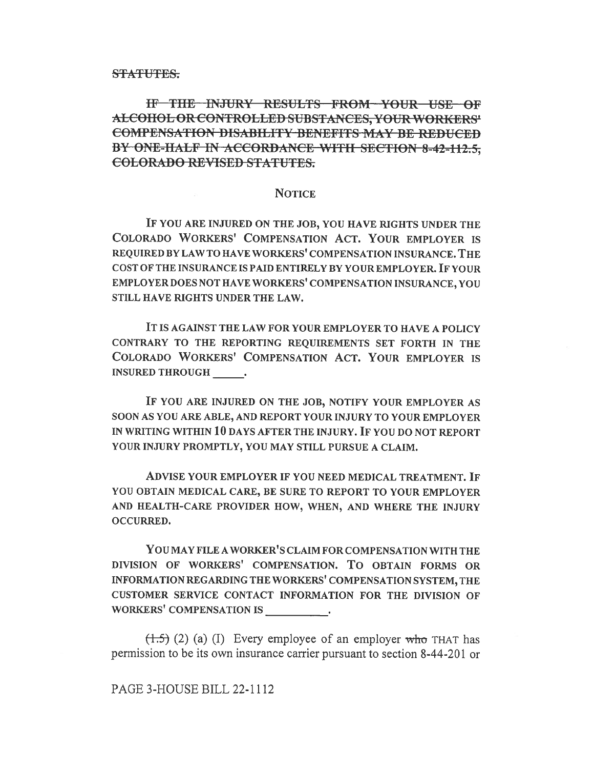**STATUTES.** 

IF THE INJURY RESULTS FROM YOUR USE OF ALCOHOL OR CONTROLLED SUBSTANCES, YOUR WORKERS' COMPENSATION DISABILITY BENEFITS MAY BE REDUCED BY ONE-HALF IN ACCORDANCE WITH SECTION 8-42-112.5. COLORADO REVISED STATUTES.

# **NOTICE**

IF YOU ARE INJURED ON THE JOB, YOU HAVE RIGHTS UNDER THE COLORADO WORKERS' COMPENSATION ACT. YOUR EMPLOYER IS REQUIRED BY LAW TO HAVE WORKERS' COMPENSATION INSURANCE. THE COST OF THE INSURANCE IS PAID ENTIRELY BY YOUR EMPLOYER. IF YOUR EMPLOYER DOES NOT HAVE WORKERS' COMPENSATION INSURANCE, YOU STILL HAVE RIGHTS UNDER THE LAW.

IT IS AGAINST THE LAW FOR YOUR EMPLOYER TO HAVE A POLICY CONTRARY TO THE REPORTING REQUIREMENTS SET FORTH IN THE COLORADO WORKERS' COMPENSATION ACT. YOUR EMPLOYER IS INSURED THROUGH .

IF YOU ARE INJURED ON THE JOB, NOTIFY YOUR EMPLOYER AS SOON AS YOU ARE ABLE, AND REPORT YOUR INJURY TO YOUR EMPLOYER IN WRITING WITHIN 10 DAYS AFTER THE INJURY. IF YOU DO NOT REPORT YOUR INJURY PROMPTLY, YOU MAY STILL PURSUE A CLAIM.

ADVISE YOUR EMPLOYER IF YOU NEED MEDICAL TREATMENT. IF YOU OBTAIN MEDICAL CARE, BE SURE TO REPORT TO YOUR EMPLOYER AND HEALTH-CARE PROVIDER HOW, WHEN, AND WHERE THE INJURY OCCURRED.

You MAY FILE A WORKER'S CLAIM FOR COMPENSATION WITH THE DIVISION OF WORKERS' COMPENSATION. To OBTAIN FORMS OR INFORMATION REGARDING THE WORKERS' COMPENSATION SYSTEM, THE CUSTOMER SERVICE CONTACT INFORMATION FOR THE DIVISION OF WORKERS' COMPENSATION IS

 $(1.5)$  (2) (a) (I) Every employee of an employer who THAT has permission to be its own insurance carrier pursuant to section 8-44-201 or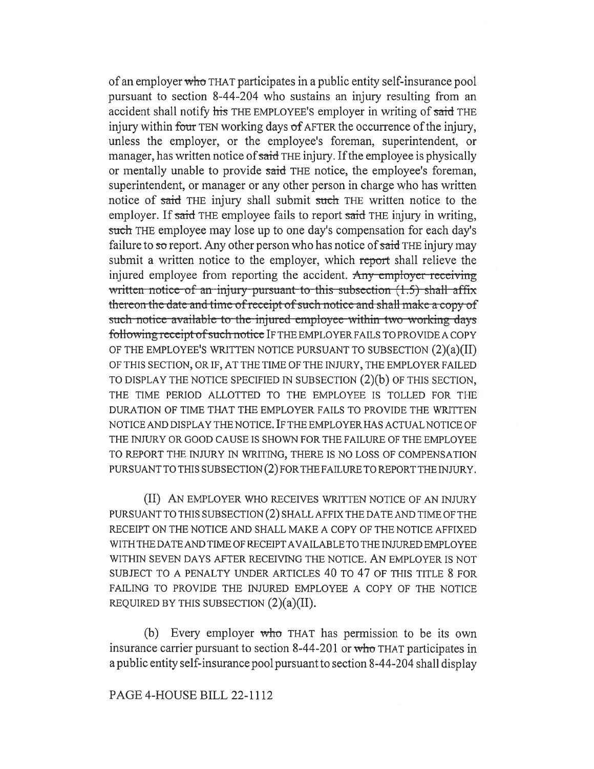of an employer who THAT participates in a public entity self-insurance pool pursuant to section 8-44-204 who sustains an injury resulting from an accident shall notify his THE EMPLOYEE'S employer in writing of said THE injury within four TEN working days of AFTER the occurrence of the injury, unless the employer, or the employee's foreman, superintendent, or manager, has written notice of said THE injury. If the employee is physically or mentally unable to provide said THE notice, the employee's foreman, superintendent, or manager or any other person in charge who has written notice of said THE injury shall submit such THE written notice to the employer. If said THE employee fails to report said THE injury in writing, such THE employee may lose up to one day's compensation for each day's failure to so report. Any other person who has notice of said THE injury may submit a written notice to the employer, which report shall relieve the injured employee from reporting the accident. Any employer receiving written notice-of an injury pursuant-to-this-subsection  $(1.5)$  shall affix thereon the date and time-of receipt of such notice and shall make a copy of such notice available to the injured employee within two working days following rcccipt of such noticc IF THE EMPLOYER FAILS TO PROVIDE A COPY OF THE EMPLOYEE'S WRITTEN NOTICE PURSUANT TO SUBSECTION (2)(a)(II) OF THIS SECTION, OR IF, AT THE TIME OF THE INJURY, THE EMPLOYER FAILED TO DISPLAY THE NOTICE SPECIFIED IN SUBSECTION (2)(b) OF THIS SECTION, THE TIME PERIOD ALLOTTED TO THE EMPLOYEE IS TOLLED FOR THE DURATION OF TIME THAT THE EMPLOYER FAILS TO PROVIDE THE WRITTEN NOTICE AND DISPLAY THE NOTICE. IF THE EMPLOYER HAS ACTUAL NOTICE OF THE INJURY OR GOOD CAUSE IS SHOWN FOR THE FAILURE OF THE EMPLOYEE TO REPORT THE INJURY IN WRITING, THERE IS NO LOSS OF COMPENSATION PURSUANT TO THIS SUBSECTION (2) FOR THE FAILURE TO REPORT THE INJURY.

(II) AN EMPLOYER WHO RECEIVES WRITTEN NOTICE OF AN INJURY PURSUANT TO THIS SUBSECTION (2) SHALL AFFIX THE DATE AND TIME OF THE RECEIPT ON THE NOTICE AND SHALL MAKE A COPY OF THE NOTICE AFFIXED WITH THE DATE AND TIME OF RECEIPT AVAILABLE TO THE INJURED EMPLOYEE WITHIN SEVEN DAYS AFTER RECEIVING THE NOTICE. AN EMPLOYER IS NOT SUBJECT TO A PENALTY UNDER ARTICLES 40 TO 47 OF THIS TITLE 8 FOR FAILING TO PROVIDE THE INJURED EMPLOYEE A COPY OF THE NOTICE REQUIRED BY THIS SUBSECTION  $(2)(a)(II)$ .

(b) Every employer who THAT has permission to be its own insurance carrier pursuant to section 8-44-201 or who THAT participates in a public entity self-insurance pool pursuant to section 8-44-204 shall display

# PAGE 4-HOUSE BILL 22-1112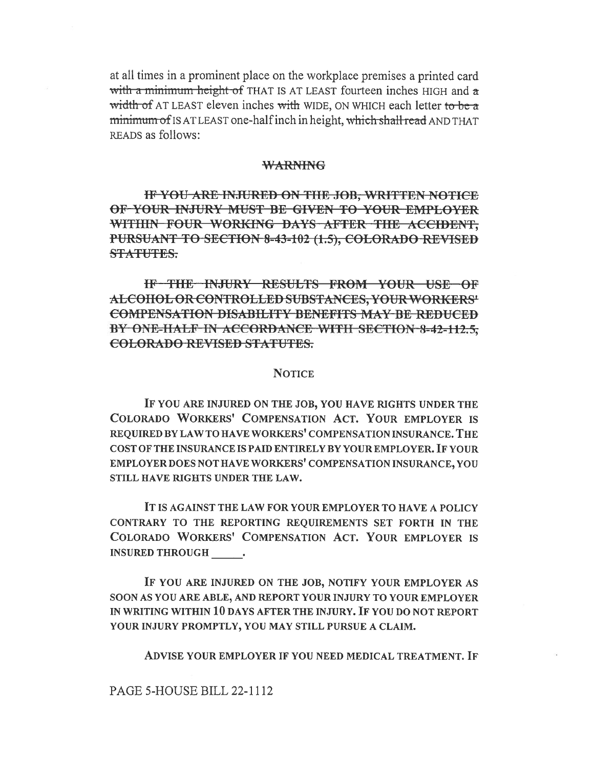at all times in a prominent place on the workplace premises a printed card with a minimum height of THAT IS AT LEAST fourteen inches HIGH and a width of AT LEAST eleven inches with WIDE, ON WHICH each letter to be a minimum of IS AT LEAST one-half inch in height, which shall read AND THAT READS as follows:

#### **WARNING**

IF YOU ARE INJURED ON THE JOB, WRITTEN NOTICE OF YOUR INJURY MUST BE GIVEN TO YOUR EMPLOYER WITHIN FOUR WORKING DAYS AFTER THE ACCIDENT. PURSUANT TO SECTION 8-43-102 (1.5), COLORADO REVISED STATUTES.

IF THE INJURY RESULTS FROM YOUR USE OF ALCOHOL OR CONTROLLED SUBSTANCES, YOUR WORKERS' **COMPENSATION DISABILITY BENEFITS MAY BE REDUCED** BY ONE-HALF IN ACCORDANCE WITH SECTION 8-42-112.5. COLORADO REVISED STATUTES.

# **NOTICE**

IF YOU ARE INJURED ON THE JOB, YOU HAVE RIGHTS UNDER THE COLORADO WORKERS' COMPENSATION ACT. YOUR EMPLOYER IS REQUIRED BY LAW TO HAVE WORKERS' COMPENSATION INSURANCE. THE COST OF THE INSURANCE IS PAID ENTIRELY BY YOUR EMPLOYER. IF YOUR EMPLOYER DOES NOT HAVE WORKERS' COMPENSATION INSURANCE, YOU STILL HAVE RIGHTS UNDER THE LAW.

IT IS AGAINST THE LAW FOR YOUR EMPLOYER TO HAVE A POLICY CONTRARY TO THE REPORTING REOUIREMENTS SET FORTH IN THE COLORADO WORKERS' COMPENSATION ACT. YOUR EMPLOYER IS **INSURED THROUGH .** 

IF YOU ARE INJURED ON THE JOB, NOTIFY YOUR EMPLOYER AS SOON AS YOU ARE ABLE, AND REPORT YOUR INJURY TO YOUR EMPLOYER IN WRITING WITHIN 10 DAYS AFTER THE INJURY. IF YOU DO NOT REPORT YOUR INJURY PROMPTLY, YOU MAY STILL PURSUE A CLAIM.

ADVISE YOUR EMPLOYER IF YOU NEED MEDICAL TREATMENT. IF

# PAGE 5-HOUSE BILL 22-1112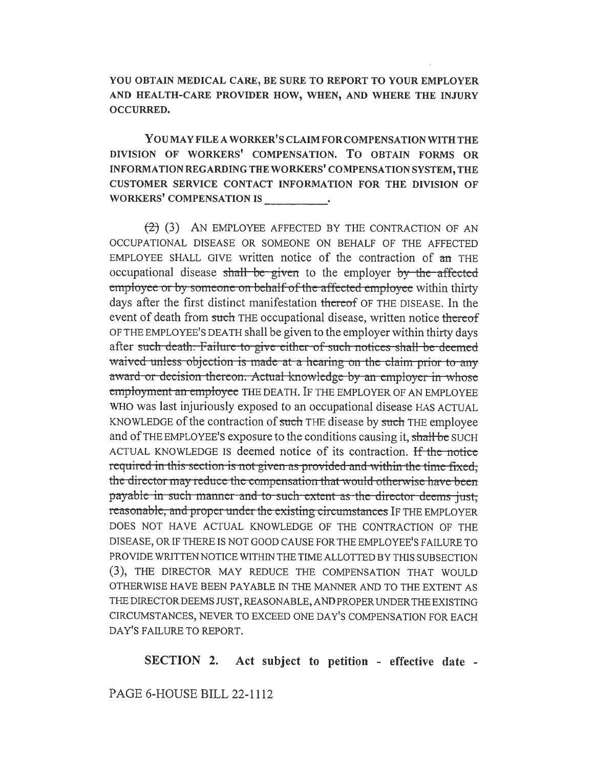YOU OBTAIN MEDICAL CARE, BE SURE TO REPORT TO YOUR EMPLOYER AND HEALTH-CARE PROVIDER HOW, WHEN, AND WHERE THE INJURY OCCURRED.

YOU MAY FILE A WORKER'S CLAIM FOR COMPENSATION WITH THE DIVISION OF WORKERS' COMPENSATION. To OBTAIN FORMS OR INFORMATION REGARDING THE WORKERS' COMPENSATION SYSTEM, THE CUSTOMER SERVICE CONTACT INFORMATION FOR THE DIVISION OF WORKERS' COMPENSATION IS

(2) (3) AN EMPLOYEE AFFECTED BY THE CONTRACTION OF AN OCCUPATIONAL DISEASE OR SOMEONE ON BEHALF OF THE AFFECTED EMPLOYEE SHALL GIVE written notice of the contraction of an THE occupational disease shall be given to the employer by the affected employee or by someone on behalf of the affected employee within thirty days after the first distinct manifestation thereof OF THE DISEASE. In the event of death from such THE occupational disease, written notice thereof OF THE EMPLOYEE'S DEATH shall be given to the employer within thirty days after such death. Failure to give either of such notices shall be deemed waived unless objection is made at a hearing on the claim-prior to any award or decision thereon. Actual knowledge by an employer in whose employment an employee THE DEATH. IF THE EMPLOYER OF AN EMPLOYEE WHO was last injuriously exposed to an occupational disease HAS ACTUAL KNOWLEDGE of the contraction of such THE disease by such THE employee and of THE EMPLOYEE'S exposure to the conditions causing it, shall be SUCH ACTUAL KNOWLEDGE IS deemed notice of its contraction. If the notice required in this section is not given as provided and within the time fixed; the director may reduce the compensation that would otherwise have been payable in such manner-and to-such-extent as-the director deems just, reasonable, and proper under the existing circumstances IF THE EMPLOYER DOES NOT HAVE ACTUAL KNOWLEDGE OF THE CONTRACTION OF THE DISEASE, OR IF THERE IS NOT GOOD CAUSE FOR THE EMPLOYEE'S FAILURE TO PROVIDE WRITTEN NOTICE WITHIN THE TIME ALLOTTED BY THIS SUBSECTION (3), THE DIRECTOR MAY REDUCE THE COMPENSATION THAT WOULD OTHERWISE HAVE BEEN PAYABLE IN THE MANNER AND TO THE EXTENT AS THE DIRECTOR DEEMS JUST, REASONABLE, AND PROPER UNDER THE EXISTING CIRCUMSTANCES, NEVER TO EXCEED ONE DAY'S COMPENSATION FOR EACH DAY'S FAILURE TO REPORT.

SECTION 2. Act subject to petition - effective date -

PAGE 6-HOUSE BILL 22-1112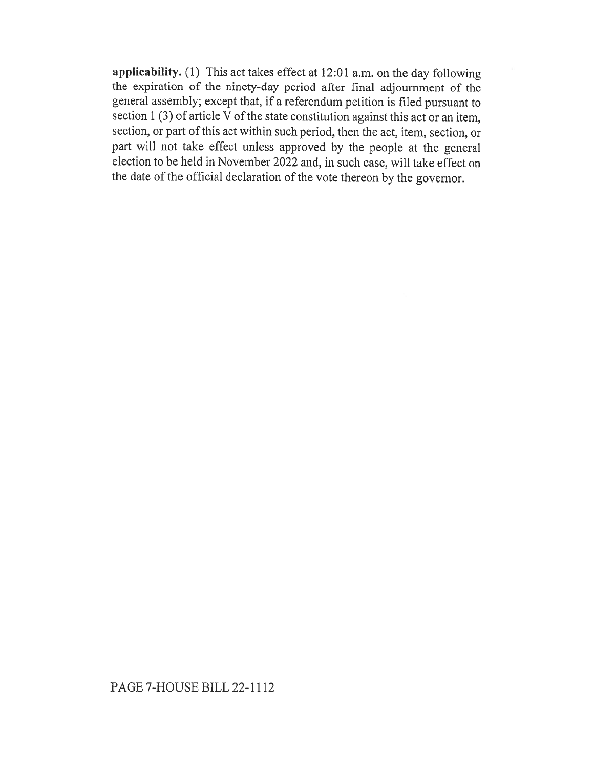applicability. (1) This act takes effect at 12:01 a.m. on the day following the expiration of the ninety-day period after final adjournment of the general assembly; except that, if a referendum petition is filed pursuant to section 1 (3) of article  $\overline{V}$  of the state constitution against this act or an item, section, or part of this act within such period, then the act, item, section, or part will not take effect unless approved by the people at the general election to be held in November 2022 and, in such case, will take effect on the date of the official declaration of the vote thereon by the governor.